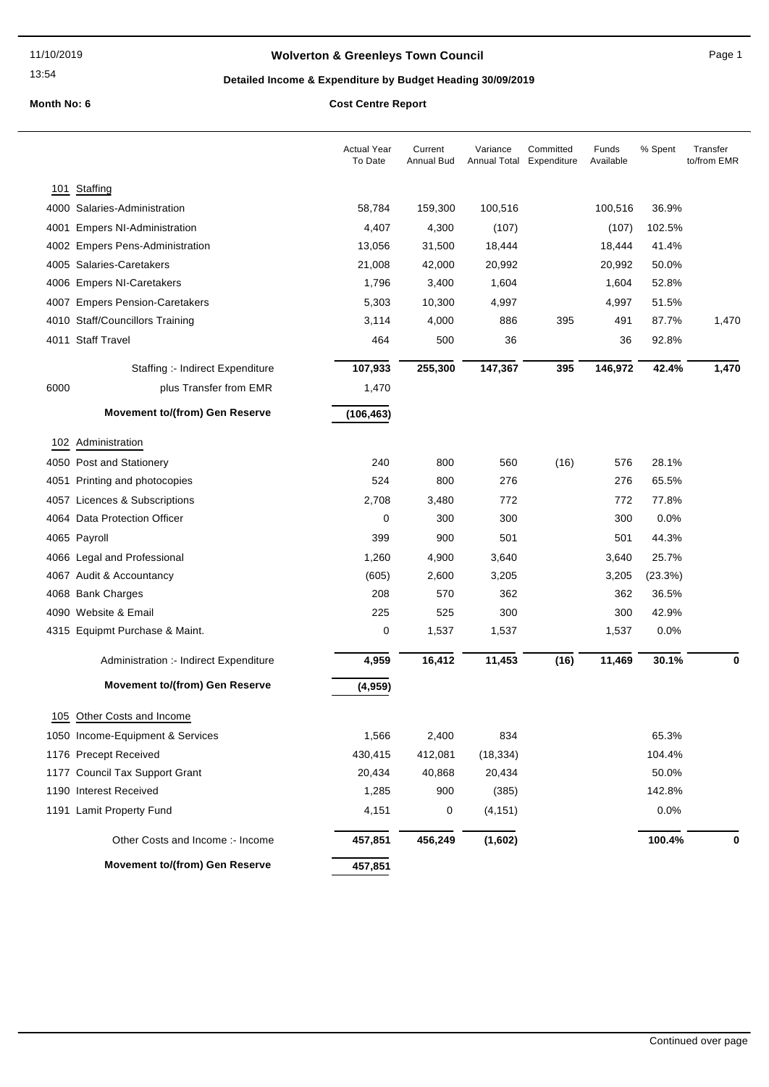## **Wolverton & Greenleys Town Council** Magnetic Page 1

## **Detailed Income & Expenditure by Budget Heading 30/09/2019**

|      |                                        | <b>Actual Year</b><br>To Date | Current<br><b>Annual Bud</b> | Variance  | Committed<br>Annual Total Expenditure | Funds<br>Available | % Spent | Transfer<br>to/from EMR |
|------|----------------------------------------|-------------------------------|------------------------------|-----------|---------------------------------------|--------------------|---------|-------------------------|
| 101  | Staffing                               |                               |                              |           |                                       |                    |         |                         |
|      | 4000 Salaries-Administration           | 58,784                        | 159,300                      | 100,516   |                                       | 100,516            | 36.9%   |                         |
|      | 4001 Empers NI-Administration          | 4,407                         | 4,300                        | (107)     |                                       | (107)              | 102.5%  |                         |
|      | 4002 Empers Pens-Administration        | 13,056                        | 31,500                       | 18,444    |                                       | 18,444             | 41.4%   |                         |
|      | 4005 Salaries-Caretakers               | 21,008                        | 42,000                       | 20,992    |                                       | 20,992             | 50.0%   |                         |
|      | 4006 Empers NI-Caretakers              | 1,796                         | 3,400                        | 1,604     |                                       | 1,604              | 52.8%   |                         |
|      | 4007 Empers Pension-Caretakers         | 5,303                         | 10,300                       | 4,997     |                                       | 4,997              | 51.5%   |                         |
|      | 4010 Staff/Councillors Training        | 3,114                         | 4,000                        | 886       | 395                                   | 491                | 87.7%   | 1,470                   |
|      | 4011 Staff Travel                      | 464                           | 500                          | 36        |                                       | 36                 | 92.8%   |                         |
|      | Staffing :- Indirect Expenditure       | 107,933                       | 255,300                      | 147,367   | 395                                   | 146,972            | 42.4%   | 1,470                   |
| 6000 | plus Transfer from EMR                 | 1,470                         |                              |           |                                       |                    |         |                         |
|      | <b>Movement to/(from) Gen Reserve</b>  | (106, 463)                    |                              |           |                                       |                    |         |                         |
|      | 102 Administration                     |                               |                              |           |                                       |                    |         |                         |
|      | 4050 Post and Stationery               | 240                           | 800                          | 560       | (16)                                  | 576                | 28.1%   |                         |
|      | 4051 Printing and photocopies          | 524                           | 800                          | 276       |                                       | 276                | 65.5%   |                         |
|      | 4057 Licences & Subscriptions          | 2,708                         | 3,480                        | 772       |                                       | 772                | 77.8%   |                         |
|      | 4064 Data Protection Officer           | 0                             | 300                          | 300       |                                       | 300                | 0.0%    |                         |
|      | 4065 Payroll                           | 399                           | 900                          | 501       |                                       | 501                | 44.3%   |                         |
|      | 4066 Legal and Professional            | 1,260                         | 4,900                        | 3,640     |                                       | 3,640              | 25.7%   |                         |
|      | 4067 Audit & Accountancy               | (605)                         | 2,600                        | 3,205     |                                       | 3,205              | (23.3%) |                         |
|      | 4068 Bank Charges                      | 208                           | 570                          | 362       |                                       | 362                | 36.5%   |                         |
|      | 4090 Website & Email                   | 225                           | 525                          | 300       |                                       | 300                | 42.9%   |                         |
|      | 4315 Equipmt Purchase & Maint.         | 0                             | 1,537                        | 1,537     |                                       | 1,537              | 0.0%    |                         |
|      | Administration :- Indirect Expenditure | 4,959                         | 16,412                       | 11,453    | (16)                                  | 11,469             | 30.1%   | 0                       |
|      | <b>Movement to/(from) Gen Reserve</b>  | (4,959)                       |                              |           |                                       |                    |         |                         |
|      | 105 Other Costs and Income             |                               |                              |           |                                       |                    |         |                         |
|      | 1050 Income-Equipment & Services       | 1,566                         | 2,400                        | 834       |                                       |                    | 65.3%   |                         |
|      | 1176 Precept Received                  | 430,415                       | 412,081                      | (18, 334) |                                       |                    | 104.4%  |                         |
|      | 1177 Council Tax Support Grant         | 20,434                        | 40,868                       | 20,434    |                                       |                    | 50.0%   |                         |
|      | 1190 Interest Received                 | 1,285                         | 900                          | (385)     |                                       |                    | 142.8%  |                         |
|      | 1191 Lamit Property Fund               | 4,151                         | 0                            | (4, 151)  |                                       |                    | 0.0%    |                         |
|      | Other Costs and Income :- Income       | 457,851                       | 456,249                      | (1,602)   |                                       |                    | 100.4%  | 0                       |
|      | <b>Movement to/(from) Gen Reserve</b>  | 457,851                       |                              |           |                                       |                    |         |                         |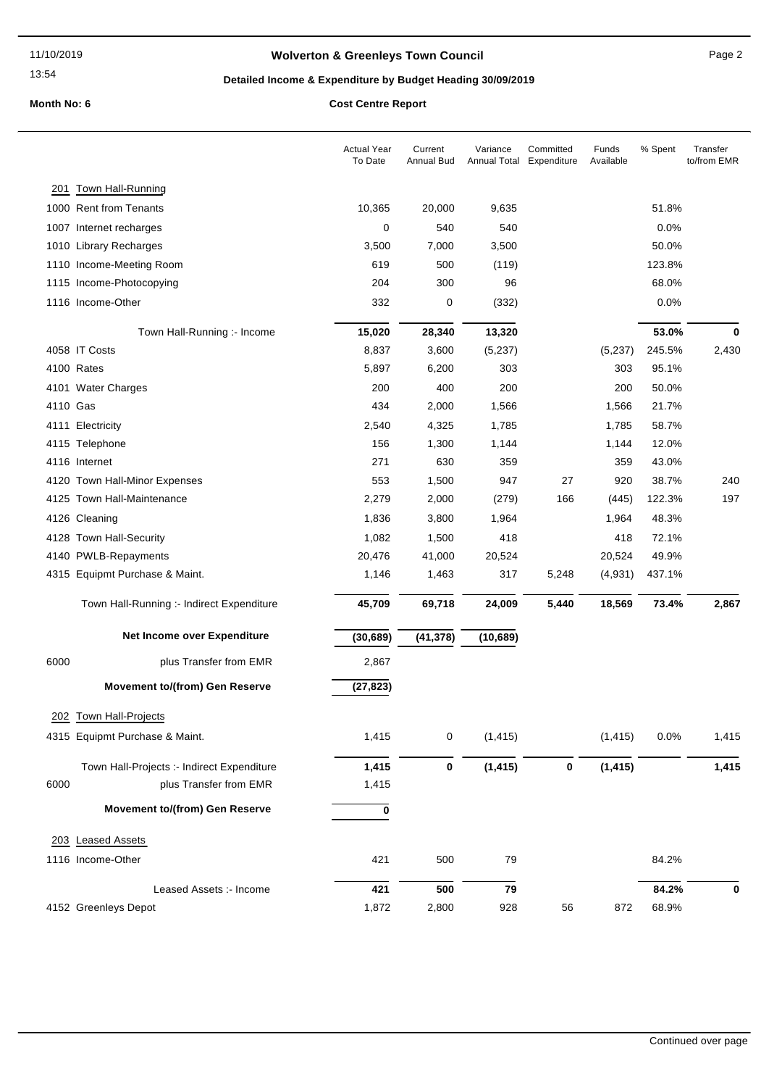## **Wolverton & Greenleys Town Council** Manual Page 2

## **Detailed Income & Expenditure by Budget Heading 30/09/2019**

|          |                                            | <b>Actual Year</b><br>To Date | Current<br><b>Annual Bud</b> | Variance<br>Annual Total | Committed<br>Expenditure | Funds<br>Available | % Spent | Transfer<br>to/from EMR |
|----------|--------------------------------------------|-------------------------------|------------------------------|--------------------------|--------------------------|--------------------|---------|-------------------------|
|          | 201 Town Hall-Running                      |                               |                              |                          |                          |                    |         |                         |
|          | 1000 Rent from Tenants                     | 10,365                        | 20,000                       | 9,635                    |                          |                    | 51.8%   |                         |
|          | 1007 Internet recharges                    | $\mathbf 0$                   | 540                          | 540                      |                          |                    | 0.0%    |                         |
|          | 1010 Library Recharges                     | 3,500                         | 7,000                        | 3,500                    |                          |                    | 50.0%   |                         |
|          | 1110 Income-Meeting Room                   | 619                           | 500                          | (119)                    |                          |                    | 123.8%  |                         |
|          | 1115 Income-Photocopying                   | 204                           | 300                          | 96                       |                          |                    | 68.0%   |                         |
|          | 1116 Income-Other                          | 332                           | 0                            | (332)                    |                          |                    | 0.0%    |                         |
|          | Town Hall-Running :- Income                | 15,020                        | 28,340                       | 13,320                   |                          |                    | 53.0%   | 0                       |
|          | 4058 IT Costs                              | 8,837                         | 3,600                        | (5,237)                  |                          | (5,237)            | 245.5%  | 2,430                   |
|          | 4100 Rates                                 | 5,897                         | 6,200                        | 303                      |                          | 303                | 95.1%   |                         |
|          | 4101 Water Charges                         | 200                           | 400                          | 200                      |                          | 200                | 50.0%   |                         |
| 4110 Gas |                                            | 434                           | 2,000                        | 1,566                    |                          | 1,566              | 21.7%   |                         |
|          | 4111 Electricity                           | 2,540                         | 4,325                        | 1,785                    |                          | 1,785              | 58.7%   |                         |
|          | 4115 Telephone                             | 156                           | 1,300                        | 1,144                    |                          | 1,144              | 12.0%   |                         |
|          | 4116 Internet                              | 271                           | 630                          | 359                      |                          | 359                | 43.0%   |                         |
|          | 4120 Town Hall-Minor Expenses              | 553                           | 1,500                        | 947                      | 27                       | 920                | 38.7%   | 240                     |
|          | 4125 Town Hall-Maintenance                 | 2,279                         | 2,000                        | (279)                    | 166                      | (445)              | 122.3%  | 197                     |
|          | 4126 Cleaning                              | 1,836                         | 3,800                        | 1,964                    |                          | 1,964              | 48.3%   |                         |
|          | 4128 Town Hall-Security                    | 1,082                         | 1,500                        | 418                      |                          | 418                | 72.1%   |                         |
|          | 4140 PWLB-Repayments                       | 20,476                        | 41,000                       | 20,524                   |                          | 20,524             | 49.9%   |                         |
|          | 4315 Equipmt Purchase & Maint.             | 1,146                         | 1,463                        | 317                      | 5,248                    | (4,931)            | 437.1%  |                         |
|          | Town Hall-Running :- Indirect Expenditure  | 45,709                        | 69,718                       | 24,009                   | 5,440                    | 18,569             | 73.4%   | 2,867                   |
|          | Net Income over Expenditure                | (30, 689)                     | (41, 378)                    | (10, 689)                |                          |                    |         |                         |
| 6000     | plus Transfer from EMR                     | 2,867                         |                              |                          |                          |                    |         |                         |
|          | <b>Movement to/(from) Gen Reserve</b>      | (27, 823)                     |                              |                          |                          |                    |         |                         |
|          | 202 Town Hall-Projects                     |                               |                              |                          |                          |                    |         |                         |
|          | 4315 Equipmt Purchase & Maint.             | 1,415                         | 0                            | (1, 415)                 |                          | (1, 415)           | 0.0%    | 1,415                   |
|          | Town Hall-Projects :- Indirect Expenditure | 1,415                         | 0                            | (1, 415)                 | 0                        | (1, 415)           |         | 1,415                   |
| 6000     | plus Transfer from EMR                     | 1,415                         |                              |                          |                          |                    |         |                         |
|          | <b>Movement to/(from) Gen Reserve</b>      | 0                             |                              |                          |                          |                    |         |                         |
|          | 203 Leased Assets                          |                               |                              |                          |                          |                    |         |                         |
|          | 1116 Income-Other                          | 421                           | 500                          | 79                       |                          |                    | 84.2%   |                         |
|          | Leased Assets :- Income                    | 421                           | 500                          | 79                       |                          |                    | 84.2%   | 0                       |
|          | 4152 Greenleys Depot                       | 1,872                         | 2,800                        | 928                      | 56                       | 872                | 68.9%   |                         |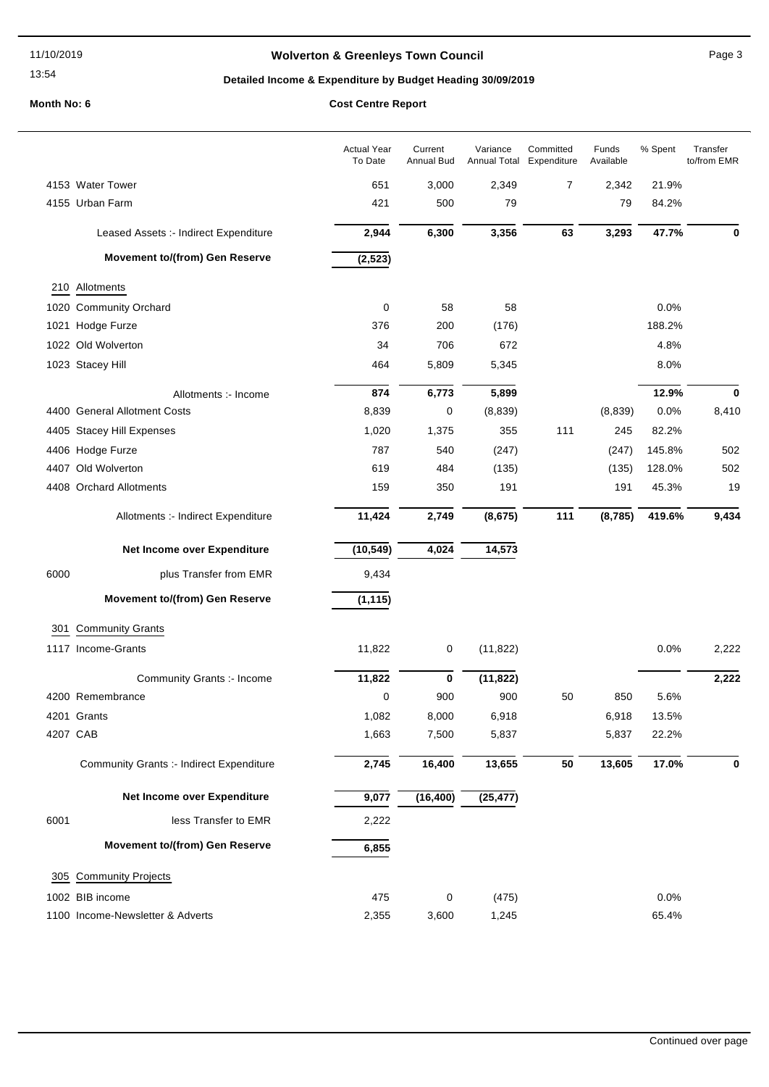## **Wolverton & Greenleys Town Council** Manual Page 3

## **Detailed Income & Expenditure by Budget Heading 30/09/2019**

|      |                                                 | <b>Actual Year</b><br>To Date | Current<br>Annual Bud | Variance<br>Annual Total Expenditure | Committed | Funds<br>Available | % Spent | Transfer<br>to/from EMR |
|------|-------------------------------------------------|-------------------------------|-----------------------|--------------------------------------|-----------|--------------------|---------|-------------------------|
|      | 4153 Water Tower                                | 651                           | 3,000                 | 2,349                                | 7         | 2,342              | 21.9%   |                         |
|      | 4155 Urban Farm                                 | 421                           | 500                   | 79                                   |           | 79                 | 84.2%   |                         |
|      | Leased Assets :- Indirect Expenditure           | 2,944                         | 6,300                 | 3,356                                | 63        | 3,293              | 47.7%   | 0                       |
|      | <b>Movement to/(from) Gen Reserve</b>           | (2, 523)                      |                       |                                      |           |                    |         |                         |
|      | 210 Allotments                                  |                               |                       |                                      |           |                    |         |                         |
|      | 1020 Community Orchard                          | $\pmb{0}$                     | 58                    | 58                                   |           |                    | 0.0%    |                         |
|      | 1021 Hodge Furze                                | 376                           | 200                   | (176)                                |           |                    | 188.2%  |                         |
|      | 1022 Old Wolverton                              | 34                            | 706                   | 672                                  |           |                    | 4.8%    |                         |
|      | 1023 Stacey Hill                                | 464                           | 5,809                 | 5,345                                |           |                    | 8.0%    |                         |
|      | Allotments :- Income                            | 874                           | 6,773                 | 5,899                                |           |                    | 12.9%   | 0                       |
|      | 4400 General Allotment Costs                    | 8,839                         | 0                     | (8,839)                              |           | (8,839)            | 0.0%    | 8,410                   |
|      | 4405 Stacey Hill Expenses                       | 1,020                         | 1,375                 | 355                                  | 111       | 245                | 82.2%   |                         |
|      | 4406 Hodge Furze                                | 787                           | 540                   | (247)                                |           | (247)              | 145.8%  | 502                     |
|      | 4407 Old Wolverton                              | 619                           | 484                   | (135)                                |           | (135)              | 128.0%  | 502                     |
|      | 4408 Orchard Allotments                         | 159                           | 350                   | 191                                  |           | 191                | 45.3%   | 19                      |
|      | Allotments :- Indirect Expenditure              | 11,424                        | 2,749                 | (8, 675)                             | 111       | (8, 785)           | 419.6%  | 9,434                   |
|      | Net Income over Expenditure                     | (10, 549)                     | 4,024                 | 14,573                               |           |                    |         |                         |
| 6000 | plus Transfer from EMR                          | 9,434                         |                       |                                      |           |                    |         |                         |
|      | <b>Movement to/(from) Gen Reserve</b>           | (1, 115)                      |                       |                                      |           |                    |         |                         |
| 301  | <b>Community Grants</b>                         |                               |                       |                                      |           |                    |         |                         |
|      | 1117 Income-Grants                              | 11,822                        | 0                     | (11, 822)                            |           |                    | 0.0%    | 2,222                   |
|      | Community Grants :- Income                      | 11,822                        | $\bf{0}$              | (11, 822)                            |           |                    |         | 2,222                   |
|      | 4200 Remembrance                                | 0                             | 900                   | 900                                  | 50        | 850                | 5.6%    |                         |
|      | 4201 Grants                                     | 1,082                         | 8,000                 | 6,918                                |           | 6,918              | 13.5%   |                         |
|      | 4207 CAB                                        | 1,663                         | 7,500                 | 5,837                                |           | 5,837              | 22.2%   |                         |
|      | <b>Community Grants :- Indirect Expenditure</b> | 2,745                         | 16,400                | 13,655                               | 50        | 13,605             | 17.0%   | 0                       |
|      | Net Income over Expenditure                     | 9,077                         | (16, 400)             | (25, 477)                            |           |                    |         |                         |
| 6001 | less Transfer to EMR                            | 2,222                         |                       |                                      |           |                    |         |                         |
|      | <b>Movement to/(from) Gen Reserve</b>           | 6,855                         |                       |                                      |           |                    |         |                         |
| 305  | <b>Community Projects</b>                       |                               |                       |                                      |           |                    |         |                         |
|      | 1002 BIB income                                 | 475                           | 0                     | (475)                                |           |                    | 0.0%    |                         |
|      | 1100 Income-Newsletter & Adverts                | 2,355                         | 3,600                 | 1,245                                |           |                    | 65.4%   |                         |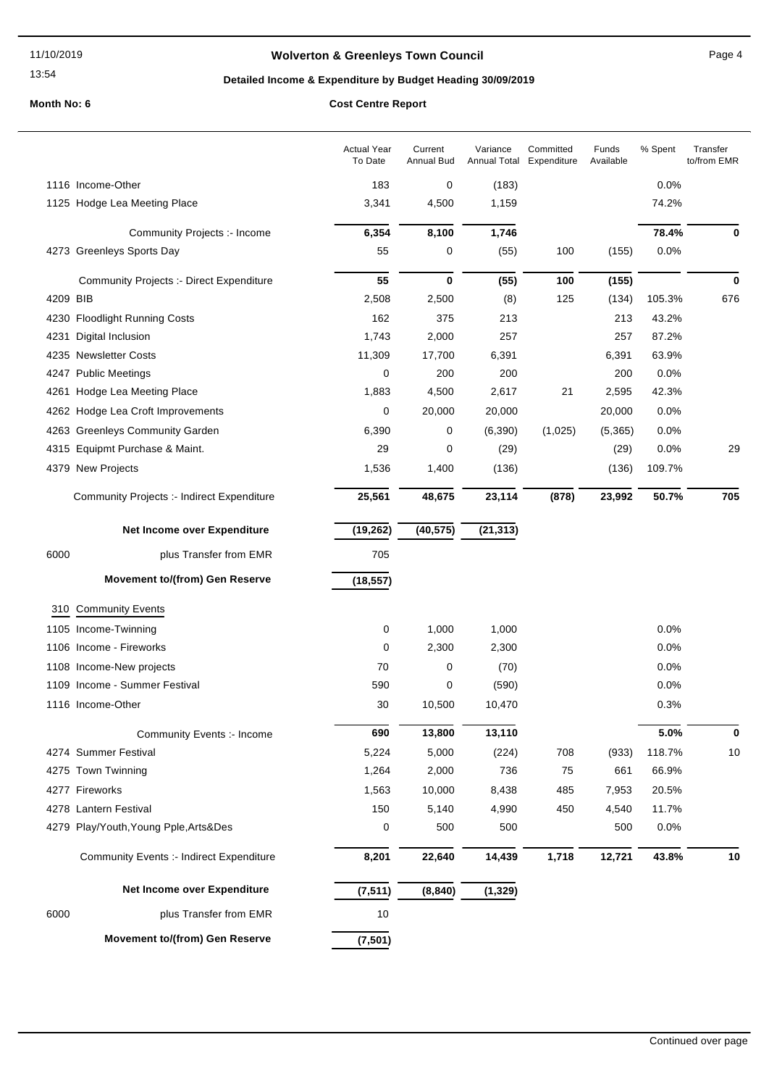#### 11/10/2019

#### 13:54

## **Wolverton & Greenleys Town Council Contract Contract Contract Page 4**

## **Detailed Income & Expenditure by Budget Heading 30/09/2019**

|          |                                                 | <b>Actual Year</b><br>To Date | Current<br><b>Annual Bud</b> | Variance<br>Annual Total | Committed<br>Expenditure | Funds<br>Available | % Spent | Transfer<br>to/from EMR |
|----------|-------------------------------------------------|-------------------------------|------------------------------|--------------------------|--------------------------|--------------------|---------|-------------------------|
|          | 1116 Income-Other                               | 183                           | 0                            | (183)                    |                          |                    | 0.0%    |                         |
|          | 1125 Hodge Lea Meeting Place                    | 3,341                         | 4,500                        | 1,159                    |                          |                    | 74.2%   |                         |
|          | Community Projects :- Income                    | 6,354                         | 8,100                        | 1,746                    |                          |                    | 78.4%   | 0                       |
|          | 4273 Greenleys Sports Day                       | 55                            | 0                            | (55)                     | 100                      | (155)              | 0.0%    |                         |
|          | <b>Community Projects :- Direct Expenditure</b> | 55                            | 0                            | (55)                     | 100                      | (155)              |         | $\bf{0}$                |
| 4209 BIB |                                                 | 2,508                         | 2,500                        | (8)                      | 125                      | (134)              | 105.3%  | 676                     |
|          | 4230 Floodlight Running Costs                   | 162                           | 375                          | 213                      |                          | 213                | 43.2%   |                         |
| 4231     | Digital Inclusion                               | 1,743                         | 2,000                        | 257                      |                          | 257                | 87.2%   |                         |
|          | 4235 Newsletter Costs                           | 11,309                        | 17,700                       | 6,391                    |                          | 6,391              | 63.9%   |                         |
|          | 4247 Public Meetings                            | 0                             | 200                          | 200                      |                          | 200                | 0.0%    |                         |
|          | 4261 Hodge Lea Meeting Place                    | 1,883                         | 4,500                        | 2,617                    | 21                       | 2,595              | 42.3%   |                         |
|          | 4262 Hodge Lea Croft Improvements               | 0                             | 20,000                       | 20,000                   |                          | 20,000             | 0.0%    |                         |
|          | 4263 Greenleys Community Garden                 | 6,390                         | 0                            | (6, 390)                 | (1,025)                  | (5,365)            | 0.0%    |                         |
|          | 4315 Equipmt Purchase & Maint.                  | 29                            | 0                            | (29)                     |                          | (29)               | 0.0%    | 29                      |
|          | 4379 New Projects                               | 1,536                         | 1,400                        | (136)                    |                          | (136)              | 109.7%  |                         |
|          | Community Projects :- Indirect Expenditure      | 25,561                        | 48,675                       | 23,114                   | (878)                    | 23,992             | 50.7%   | 705                     |
|          | Net Income over Expenditure                     | (19, 262)                     | (40, 575)                    | (21, 313)                |                          |                    |         |                         |
| 6000     | plus Transfer from EMR                          | 705                           |                              |                          |                          |                    |         |                         |
|          | <b>Movement to/(from) Gen Reserve</b>           | (18, 557)                     |                              |                          |                          |                    |         |                         |
|          | 310 Community Events                            |                               |                              |                          |                          |                    |         |                         |
|          | 1105 Income-Twinning                            | 0                             | 1,000                        | 1,000                    |                          |                    | 0.0%    |                         |
|          | 1106 Income - Fireworks                         | 0                             | 2,300                        | 2,300                    |                          |                    | 0.0%    |                         |
|          | 1108 Income-New projects                        | 70                            | 0                            | (70)                     |                          |                    | 0.0%    |                         |
|          | 1109 Income - Summer Festival                   | 590                           | 0                            | (590)                    |                          |                    | 0.0%    |                         |
|          | 1116 Income-Other                               | 30                            | 10,500                       | 10,470                   |                          |                    | 0.3%    |                         |
|          | Community Events :- Income                      | 690                           | 13,800                       | 13,110                   |                          |                    | 5.0%    | 0                       |
|          | 4274 Summer Festival                            | 5,224                         | 5,000                        | (224)                    | 708                      | (933)              | 118.7%  | $10$                    |
|          | 4275 Town Twinning                              | 1,264                         | 2,000                        | 736                      | 75                       | 661                | 66.9%   |                         |
|          | 4277 Fireworks                                  | 1,563                         | 10,000                       | 8,438                    | 485                      | 7,953              | 20.5%   |                         |
|          | 4278 Lantern Festival                           | 150                           | 5,140                        | 4,990                    | 450                      | 4,540              | 11.7%   |                         |
|          | 4279 Play/Youth, Young Pple, Arts&Des           | 0                             | 500                          | 500                      |                          | 500                | 0.0%    |                         |
|          | <b>Community Events :- Indirect Expenditure</b> | 8,201                         | 22,640                       | 14,439                   | 1,718                    | 12,721             | 43.8%   | 10                      |
|          | Net Income over Expenditure                     | (7, 511)                      | (8, 840)                     | (1, 329)                 |                          |                    |         |                         |
| 6000     | plus Transfer from EMR                          | $10$                          |                              |                          |                          |                    |         |                         |
|          | <b>Movement to/(from) Gen Reserve</b>           | (7, 501)                      |                              |                          |                          |                    |         |                         |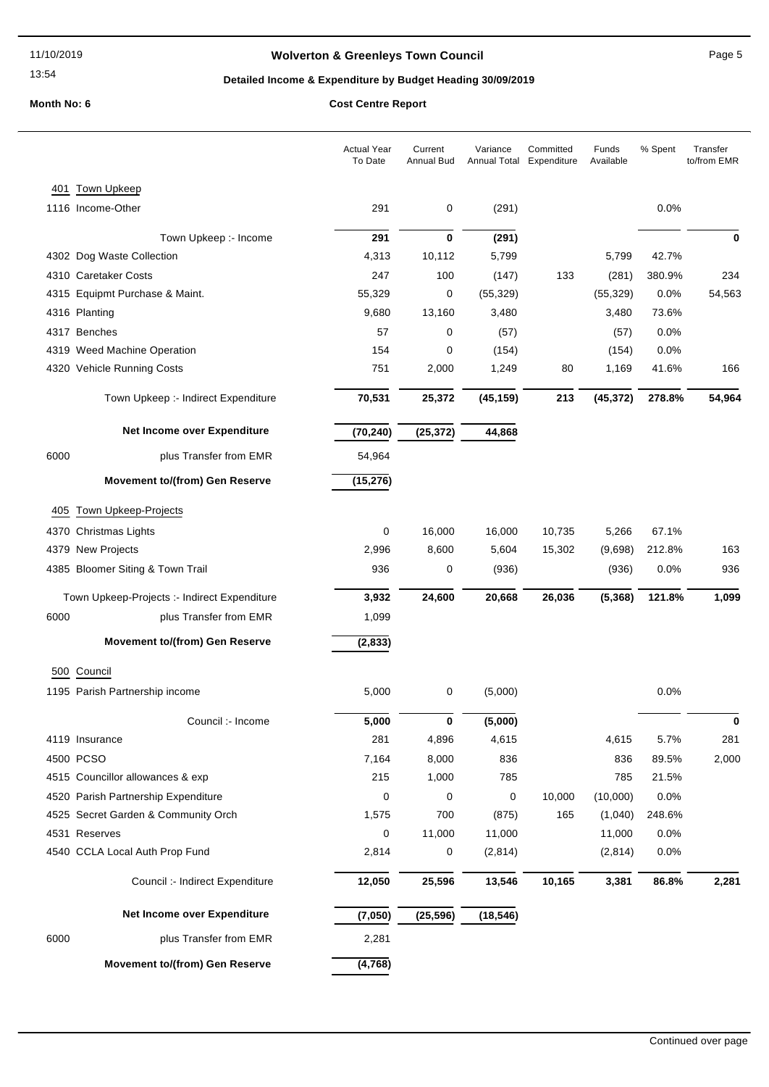## **Wolverton & Greenleys Town Council Page 5** Page 5

## **Detailed Income & Expenditure by Budget Heading 30/09/2019**

|      |                                              | <b>Actual Year</b><br>To Date | Current<br>Annual Bud | Variance<br><b>Annual Total</b> | Committed<br>Expenditure | Funds<br>Available | % Spent | Transfer<br>to/from EMR |
|------|----------------------------------------------|-------------------------------|-----------------------|---------------------------------|--------------------------|--------------------|---------|-------------------------|
| 401  | <b>Town Upkeep</b>                           |                               |                       |                                 |                          |                    |         |                         |
|      | 1116 Income-Other                            | 291                           | 0                     | (291)                           |                          |                    | 0.0%    |                         |
|      | Town Upkeep :- Income                        | 291                           | $\mathbf 0$           | (291)                           |                          |                    |         | $\bf{0}$                |
|      | 4302 Dog Waste Collection                    | 4,313                         | 10,112                | 5,799                           |                          | 5,799              | 42.7%   |                         |
|      | 4310 Caretaker Costs                         | 247                           | 100                   | (147)                           | 133                      | (281)              | 380.9%  | 234                     |
|      | 4315 Equipmt Purchase & Maint.               | 55,329                        | 0                     | (55, 329)                       |                          | (55, 329)          | 0.0%    | 54,563                  |
|      | 4316 Planting                                | 9,680                         | 13,160                | 3,480                           |                          | 3,480              | 73.6%   |                         |
|      | 4317 Benches                                 | 57                            | 0                     | (57)                            |                          | (57)               | 0.0%    |                         |
|      | 4319 Weed Machine Operation                  | 154                           | 0                     | (154)                           |                          | (154)              | 0.0%    |                         |
|      | 4320 Vehicle Running Costs                   | 751                           | 2,000                 | 1,249                           | 80                       | 1,169              | 41.6%   | 166                     |
|      | Town Upkeep :- Indirect Expenditure          | 70,531                        | 25,372                | (45, 159)                       | 213                      | (45, 372)          | 278.8%  | 54,964                  |
|      | Net Income over Expenditure                  | (70, 240)                     | (25, 372)             | 44,868                          |                          |                    |         |                         |
| 6000 | plus Transfer from EMR                       | 54,964                        |                       |                                 |                          |                    |         |                         |
|      | <b>Movement to/(from) Gen Reserve</b>        | (15, 276)                     |                       |                                 |                          |                    |         |                         |
|      | 405 Town Upkeep-Projects                     |                               |                       |                                 |                          |                    |         |                         |
|      | 4370 Christmas Lights                        | 0                             | 16,000                | 16,000                          | 10,735                   | 5,266              | 67.1%   |                         |
|      | 4379 New Projects                            | 2,996                         | 8,600                 | 5,604                           | 15,302                   | (9,698)            | 212.8%  | 163                     |
|      | 4385 Bloomer Siting & Town Trail             | 936                           | 0                     | (936)                           |                          | (936)              | 0.0%    | 936                     |
|      |                                              |                               |                       |                                 |                          |                    |         |                         |
|      | Town Upkeep-Projects :- Indirect Expenditure | 3,932                         | 24,600                | 20,668                          | 26,036                   | (5, 368)           | 121.8%  | 1,099                   |
| 6000 | plus Transfer from EMR                       | 1,099                         |                       |                                 |                          |                    |         |                         |
|      | <b>Movement to/(from) Gen Reserve</b>        | (2, 833)                      |                       |                                 |                          |                    |         |                         |
|      | 500 Council                                  |                               |                       |                                 |                          |                    |         |                         |
|      | 1195 Parish Partnership income               | 5,000                         | 0                     | (5,000)                         |                          |                    | 0.0%    |                         |
|      | Council :- Income                            | 5,000                         | 0                     | (5,000)                         |                          |                    |         |                         |
|      | 4119 Insurance                               | 281                           | 4,896                 | 4,615                           |                          | 4,615              | 5.7%    | 281                     |
|      | 4500 PCSO                                    | 7,164                         | 8,000                 | 836                             |                          | 836                | 89.5%   | 2,000                   |
|      | 4515 Councillor allowances & exp             | 215                           | 1,000                 | 785                             |                          | 785                | 21.5%   |                         |
|      | 4520 Parish Partnership Expenditure          | 0                             | 0                     | 0                               | 10,000                   | (10,000)           | 0.0%    |                         |
|      | 4525 Secret Garden & Community Orch          | 1,575                         | 700                   | (875)                           | 165                      | (1,040)            | 248.6%  |                         |
|      | 4531 Reserves                                | 0                             | 11,000                | 11,000                          |                          | 11,000             | 0.0%    |                         |
|      | 4540 CCLA Local Auth Prop Fund               | 2,814                         | 0                     | (2,814)                         |                          | (2,814)            | 0.0%    |                         |
|      | Council :- Indirect Expenditure              | 12,050                        | 25,596                | 13,546                          | 10,165                   | 3,381              | 86.8%   | 2,281                   |
|      | Net Income over Expenditure                  | (7,050)                       | (25, 596)             | (18, 546)                       |                          |                    |         |                         |
| 6000 | plus Transfer from EMR                       | 2,281                         |                       |                                 |                          |                    |         |                         |
|      | Movement to/(from) Gen Reserve               | (4, 768)                      |                       |                                 |                          |                    |         |                         |